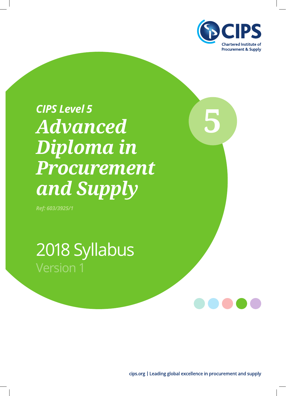

# **5** *CIPS Level 5 Advanced Diploma in Procurement and Supply*

*Ref: 603/3925/1*

2018 Syllabus Version 1

cips.org | Leading global excellence in procurement and supply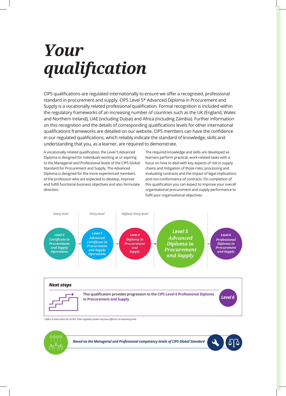## *Your qualifıcation*

CIPS qualifications are regulated internationally to ensure we offer a recognised, professional standard in procurement and supply. CIPS Level 5\* Advanced Diploma in Procurement and Supply is a vocationally related professional qualification. Formal recognition is included within the regulatory frameworks of an increasing number of countries such as the UK (England, Wales and Northern Ireland), UAE (including Dubai) and Africa (including Zambia). Further information on this recognition and the details of corresponding qualifications levels for other international qualifications frameworks are detailed on our website. CIPS members can have the confidence in our regulated qualifications, which reliably indicate the standard of knowledge, skills and understanding that you, as a learner, are required to demonstrate.

A vocationally related qualification, the Level 5 Advanced Diploma is designed for individuals working at or aspiring to the Managerial and Professional levels of the CIPS Global Standard for Procurement and Supply. The Advanced Diploma is designed for the more experienced members of the profession who are expected to develop, improve and fulfill functional business objectives and also formulate direction.

The required knowledge and skills are developed as learners perform practical, work-related tasks with a focus on how to deal with key aspects of risk in supply chains and mitigation of those risks; processing and evaluating contracts and the impact of legal implications and non-conformance of contracts. On completion of this qualification you can expect to improve your overall organisational procurement and supply performance to fulfil your organisational objectives.





*\* Refers to levels within the UK RQF. Other regulatory bodies may have different corresponding levels*

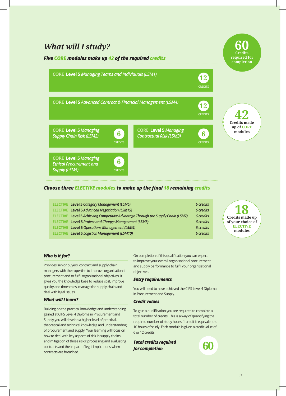### *What will I study?*

### *Five CORE modules make up 42 of the required credits*



### *Choose three ELECTIVE modules to make up the final 18 remaining credits*

| 6 credits                                                                                                                                                                                                                                                                                                                                                                      |
|--------------------------------------------------------------------------------------------------------------------------------------------------------------------------------------------------------------------------------------------------------------------------------------------------------------------------------------------------------------------------------|
| 6 credits                                                                                                                                                                                                                                                                                                                                                                      |
| 6 credits                                                                                                                                                                                                                                                                                                                                                                      |
| 6 credits                                                                                                                                                                                                                                                                                                                                                                      |
| 6 credits                                                                                                                                                                                                                                                                                                                                                                      |
| 6 credits                                                                                                                                                                                                                                                                                                                                                                      |
|                                                                                                                                                                                                                                                                                                                                                                                |
| <b>ELECTIVE Level 5 Category Management (L5M6)</b><br><b>ELECTIVE Level 5 Advanced Negotiation (L5M15)</b><br>ELECTIVE Level 5 Achieving Competitive Advantage Through the Supply Chain (L5M7)<br><b>ELECTIVE Level 5 Project and Change Management (L5M8)</b><br><b>ELECTIVE Level 5 Operations Management (L5M9)</b><br><b>ELECTIVE Level 5 Logistics Management (L5M10)</b> |

*Who is it for?* 

Provides senior buyers, contract and supply chain managers with the expertise to improve organisational procurement and to fulfil organisational objectives. It gives you the knowledge base to reduce cost, improve quality and timescales, manage the supply chain and deal with legal issues.

### *What will I learn?*

Building on the practical knowledge and understanding gained at CIPS Level 4 Diploma in Procurement and Supply you will develop a higher level of practical, theoretical and technical knowledge and understanding of procurement and supply. Your learning will focus on how to deal with key aspects of risk in supply chains and mitigation of those risks; processing and evaluating contracts and the impact of legal implications when contracts are breached.

On completion of this qualification you can expect to improve your overall organisational procurement and supply performance to fulfil your organisational objectives.

### *Entry requirements*

You will need to have achieved the CIPS Level 4 Diploma in Procurement and Supply.

### *Credit values*

To gain a qualification you are required to complete a total number of credits. This is a way of quantifying the required number of study hours. 1 credit is equivalent to 10 hours of study. Each module is given a credit value of 6 or 12 credits.

*Total credits required for completion* **60**

**18 Credits made up** 

**60 Credits required for** 

**of your choice of ELECTIVE modules**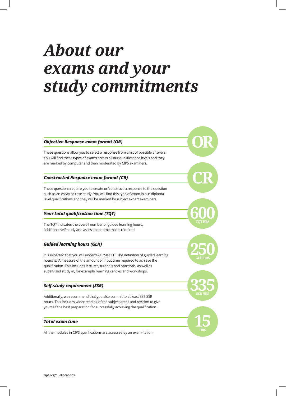## *About our exams and your study commitments*

### *Objective Response exam format (OR)*

These questions allow you to select a response from a list of possible answers. You will find these types of exams across all our qualifications levels and they are marked by computer and then moderated by CIPS examiners.

### *Constructed Response exam format (CR)*

These questions require you to create or 'construct' a response to the question such as an essay or case study. You will find this type of exam in our diploma level qualifications and they will be marked by subject expert examiners.

### *Your total qualification time (TQT)*

The TQT indicates the overall number of guided learning hours, additional self-study and assessment time that is required.

### *Guided learning hours (GLH)*

It is expected that you will undertake 250 GLH. The definition of guided learning hours is: 'A measure of the amount of input time required to achieve the qualification. This includes lectures, tutorials and practicals, as well as supervised study in, for example, learning centres and workshops'.

### *Self-study requirement (SSR)*

Additionally, we recommend that you also commit to at least 335 SSR hours. This includes wider reading of the subject areas and revision to give yourself the best preparation for successfully achieving the qualification.

### *Total exam time*

All the modules in CIPS qualifications are assessed by an examination.

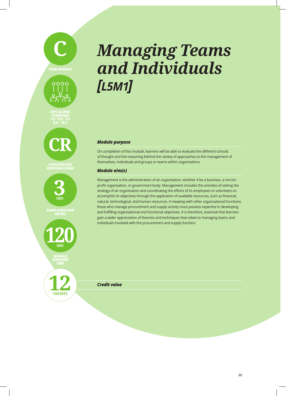# **C** *CORE MODULE*



*CIPS GLOBAL STANDARD 7.6 • 9.4 • 9.5 9.6 • 10.3*



*CONSTRUCTED RESPONSE EXAM*



*EXAM DURATION*



*MODULE LEARNING*

**12** *Credit value* **CREDITS**

## *Managing Teams and Individuals [L5M1]*

### *Module purpose*

On completion of this module, learners will be able to evaluate the different schools of thought and the reasoning behind the variety of approaches to the management of themselves, individuals and groups or teams within organisations.

### *Module aim(s)*

Management is the administration of an organisation, whether it be a business, a not-forprofit organisation, or government body. Management includes the activities of setting the strategy of an organisation and coordinating the efforts of its employees or volunteers to accomplish its objectives through the application of available resources, such as financial, natural, technological, and human resources. In keeping with other organisational functions, those who manage procurement and supply activity must possess expertise in developing and fulfilling organisational and functional objectives. It is therefore, essential that learners gain a wider appreciation of theories and techniques that relate to managing teams and individuals involved with the procurement and supply function.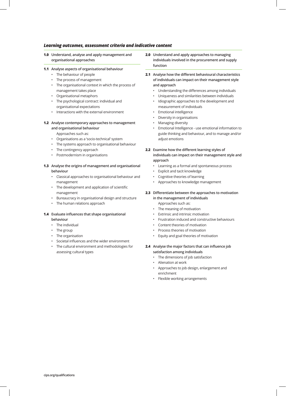- **1.0 Understand, analyse and apply management and organisational approaches**
- **1.1 Analyse aspects of organisational behaviour**
	- The behaviour of people
	- The process of management
	- The organisational context in which the process of management takes place
	- Organisational metaphors
	- The psychological contract: individual and organisational expectations
	- Interactions with the external environment

### **1.2 Analyse contemporary approaches to management and organisational behaviour**

Approaches such as:

- Organisations as a 'socio-technical' system
- The systems approach to organisational behaviour
- The contingency approach
- Postmodernism in organisations

### **1.3 Analyse the origins of management and organisational behaviour**

- Classical approaches to organisational behaviour and management
- The development and application of scientific management
- Bureaucracy in organisational design and structure
- The human relations approach

### **1.4 Evaluate influences that shape organisational behaviour**

- The individual
- The group
- The organisation
- Societal influences and the wider environment
- The cultural environment and methodologies for assessing cultural types
- **2.0 Understand and apply approaches to managing individuals involved in the procurement and supply function**
- **2.1 Analyse how the different behavioural characteristics of individuals can impact on their management style and approach** 
	- Understanding the differences among individuals
	- Uniqueness and similarities between individuals
	- Idiographic approaches to the development and measurement of individuals
	- Emotional intelligence
	- Diversity in organisations
	- Managing diversity
	- Emotional Intelligence use emotional information to guide thinking and behaviour, and to manage and/or adjust emotions

### **2.2 Examine how the different learning styles of individuals can impact on their management style and approach**

- Learning as a formal and spontaneous process
- Explicit and tacit knowledge
- Cognitive theories of learning
- Approaches to knowledge management
- **2.3 Differentiate between the approaches to motivation in the management of individuals**

Approaches such as:

- The meaning of motivation
- Extrinsic and intrinsic motivation
- Frustration induced and constructive behaviours
- Content theories of motivation
- Process theories of motivation
- Equity and goal theories of motivation
- **2.4 Analyse the major factors that can influence job satisfaction among individuals** 
	- The dimensions of job satisfaction
	- Alienation at work
	- Approaches to job design, enlargement and enrichment
	- Flexible working arrangements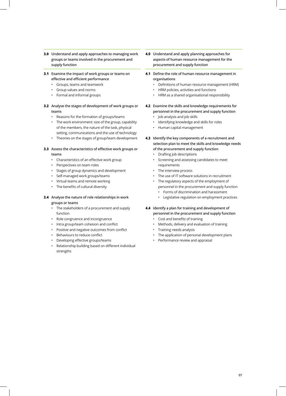- **3.0 Understand and apply approaches to managing work groups or teams involved in the procurement and supply function**
- **3.1 Examine the impact of work groups or teams on effective and efficient performance** 
	- Groups, teams and teamwork
	- Group values and norms
	- Formal and informal groups
- **3.2 Analyse the stages of development of work groups or teams** 
	- Reasons for the formation of groups/teams
	- The work environment: size of the group, capability of the members, the nature of the task, physical setting, communications and the use of technology
	- Theories on the stages of group/team development
- **3.3 Assess the characteristics of effective work groups or teams** 
	- Characteristics of an effective work group
	- Perspectives on team roles
	- Stages of group dynamics and development
	- Self-managed work groups/teams
	- Virtual teams and remote working
	- The benefits of cultural diversity
- **3.4 Analyse the nature of role relationships in work groups or teams** 
	- The stakeholders of a procurement and supply function
	- Role congruence and incongruence
	- Intra group/team cohesion and conflict
	- Positive and negative outcomes from conflict
	- Behaviours to reduce conflict
	- Developing effective groups/teams
	- Relationship building based on different individual strengths
- **4.0 Understand and apply planning approaches for aspects of human resource management for the procurement and supply function**
- **4.1 Define the role of human resource management in organisations**
	- Definitions of human resource management (HRM)
	- HRM policies, activities and functions
	- HRM as a shared organisational responsibility
- **4.2 Examine the skills and knowledge requirements for personnel in the procurement and supply function** • Job analysis and job skills
	- Identifying knowledge and skills for roles
	- Human capital management
- **4.3 Identify the key components of a recruitment and selection plan to meet the skills and knowledge needs of the procurement and supply function**
	- Drafting job descriptions
	- Screening and assessing candidates to meet requirements
	- The interview process
	- The use of IT software solutions in recruitment
	- The regulatory aspects of the employment of personnel in the procurement and supply function
		- Forms of discrimination and harassment
		- Legislative regulation on employment practices
- **4.4 Identify a plan for training and development of personnel in the procurement and supply function**
	- Cost and benefits of training
	- Methods, delivery and evaluation of training
	- Training needs analysis
	- The application of personal development plans
	- Performance review and appraisal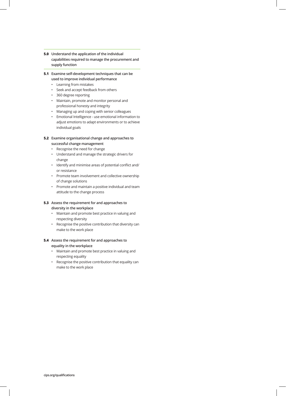- **5.0 Understand the application of the individual capabilities required to manage the procurement and supply function**
- **5.1 Examine self-development techniques that can be used to improve individual performance** 
	- Learning from mistakes
	- Seek and accept feedback from others
	- 360 degree reporting
	- Maintain, promote and monitor personal and professional honesty and integrity
	- Managing up and coping with senior colleagues
	- Emotional Intelligence use emotional information to adjust emotions to adapt environments or to achieve individual goals

### **5.2 Examine organisational change and approaches to successful change management**

- Recognise the need for change
- Understand and manage the strategic drivers for change
- Identify and minimise areas of potential conflict and/ or resistance
- Promote team involvement and collective ownership of change solutions
- Promote and maintain a positive individual and team attitude to the change process

### **5.3 Assess the requirement for and approaches to diversity in the workplace**

- Maintain and promote best practice in valuing and respecting diversity
- Recognise the positive contribution that diversity can make to the work place

### **5.4 Assess the requirement for and approaches to equality in the workplace**

- Maintain and promote best practice in valuing and respecting equality
- Recognise the positive contribution that equality can make to the work place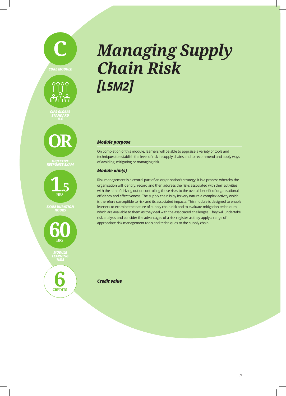





**OR**

*OBJECTIVE RESPONSE EXAM*



*EXAM DURATION*



*MODULE LEARNING*

**6** *Credit value* **CREDITS**

### *Managing Supply Chain Risk [L5M2]*

### *Module purpose*

On completion of this module, learners will be able to appraise a variety of tools and techniques to establish the level of risk in supply chains and to recommend and apply ways of avoiding, mitigating or managing risk.

### *Module aim(s)*

Risk management is a central part of an organisation's strategy. It is a process whereby the organisation will identify, record and then address the risks associated with their activities with the aim of driving out or controlling those risks to the overall benefit of organisational efficiency and effectiveness. The supply chain is by its very nature a complex activity which is therefore susceptible to risk and its associated impacts. This module is designed to enable learners to examine the nature of supply chain risk and to evaluate mitigation techniques which are available to them as they deal with the associated challenges. They will undertake risk analysis and consider the advantages of a risk register as they apply a range of appropriate risk management tools and techniques to the supply chain.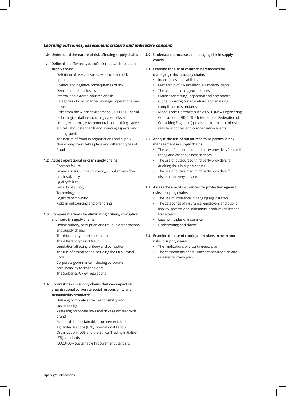- **1.0 Understand the nature of risk affecting supply chains**
- **1.1 Define the different types of risk that can impact on supply chains** 
	- Definition of risks, hazards, exposure and risk appetite
	- Positive and negative consequences of risk
	- Direct and indirect losses
	- Internal and external sources of risk
	- Categories of risk: financial, strategic, operational and hazard
	- Risks from the wider environment: STEEPLED social, technological (failure including cyber risks and crime), economic, environmental, political, legislative, ethical (labour standards and sourcing aspects) and demographic
	- The nature of fraud in organisations and supply chains, why fraud takes place and different types of fraud

#### **1.2 Assess operational risks in supply chains**

- Contract failure
- Financial risks such as currency, supplier cash flow and insolvency
- Quality failure
- Security of supply
- Technology
- Logistics complexity
- Risks in outsourcing and offshoring
- **1.3 Compare methods for eliminating bribery, corruption and fraud in supply chains** 
	- Define bribery, corruption and fraud in organisations and supply chains
	- The different types of corruption
	- The different types of fraud
	- Legislation affecting bribery and corruption
	- The use of ethical codes including the CIPS Ethical Code
	- Corporate governance including corporate accountability to stakeholders
	- The Sarbanes-Oxley regulations

### **1.4 Contrast risks in supply chains that can impact on organisational corporate social responsibility and sustainability standards**

- Defining corporate social responsibility and sustainability
- Assessing corporate risks and risks associated with brand
- Standards for sustainable procurement, such as; United Nations (UN), International Labour Organization (ILO), and the Ethical Trading Initiative (ETI) standards
- ISO20400 Sustainable Procurement Standard
- **2.0 Understand processes in managing risk in supply chains**
- **2.1 Examine the use of contractual remedies for managing risks in supply chains** 
	- Indemnities and liabilities
	- Ownership of IPR (Intellectual Property Rights)
	- The use of force majeure clauses
	- Clauses for testing, inspection and acceptance
	- Global sourcing considerations and ensuring compliance to standards
	- Model Form Contracts such as NEC (New Engineering Contract) and FIDIC (The International Federation of Consulting Engineers) provisions for the use of risk registers, notices and compensation events
- **2.2 Analyse the use of outsourced third parties in risk management in supply chains**
	- The use of outsourced third party providers for credit rating and other business services
	- The use of outsourced third party providers for auditing risks in supply chains
	- The use of outsourced third party providers for disaster recovery services
- **2.3 Assess the use of insurances for protection against risks in supply chains**
	- The use of insurance in hedging against risks
	- The categories of insurance: employers and public liability, professional indemnity, product liability and trade credit
	- Legal principles of insurance
	- Underwriting and claims
- **2.4 Examine the use of contingency plans to overcome risks in supply chains**
	- The implications of a contingency plan
	- The components of a business continuity plan and disaster recovery plan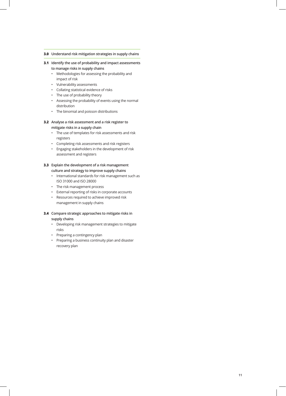#### **3.0 Understand risk mitigation strategies in supply chains**

- **3.1 Identify the use of probability and impact assessments to manage risks in supply chains** 
	- Methodologies for assessing the probability and impact of risk
	- Vulnerability assessments
	- Collating statistical evidence of risks
	- The use of probability theory
	- Assessing the probability of events using the normal distribution
	- The binomial and poisson distributions

### **3.2 Analyse a risk assessment and a risk register to mitigate risks in a supply chain**

- The use of templates for risk assessments and risk registers
- Completing risk assessments and risk registers
- Engaging stakeholders in the development of risk assessment and registers

### **3.3 Explain the development of a risk management culture and strategy to improve supply chains**

- International standards for risk management such as ISO 31000 and ISO 28000
- The risk management process
- External reporting of risks in corporate accounts
- Resources required to achieve improved risk management in supply chains

### **3.4 Compare strategic approaches to mitigate risks in supply chains**

- Developing risk management strategies to mitigate risks
- Preparing a contingency plan
- Preparing a business continuity plan and disaster recovery plan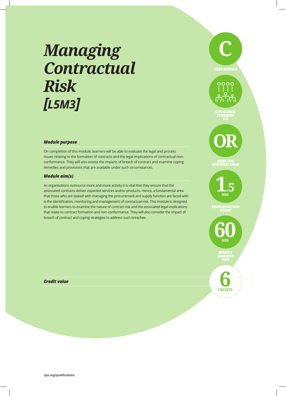### *Managing Contractual Risk [L5M3]*

### *Module purpose*

On completion of this module, learners will be able to evaluate the legal and process issues relating to the formation of contracts and the legal implications of contractual nonconformance. They will also assess the impacts of breach of contract and examine coping remedies and provisions that are available under such circumstances.

### *Module aim(s)*

As organisations outsource more and more activity it is vital that they ensure that the associated contracts deliver expected services and/or products. Hence, a fundamental area that those who are tasked with managing the procurement and supply function are faced with is the identification, monitoring and management of contractual risk. This module is designed to enable learners to examine the nature of contract risk and the associated legal implications that relate to contract formation and non-conformance. They will also consider the impact of breach of contract and coping strategies to address such breaches.

### **C** *CORE MODULE*  $0000$ Ö,  $\circ$ ی س

*CIPS GLOBAL STANDARD 5.5*

**OR**

*OBJECTIVE RESPONSE EXAM*

**1**.**5 HRS**

*EXAM DURATION*

**60 HRS**

> *MODULE LEARNING TIME*

**CREDITS 6**

*Credit value*

**cips.org/qualifications**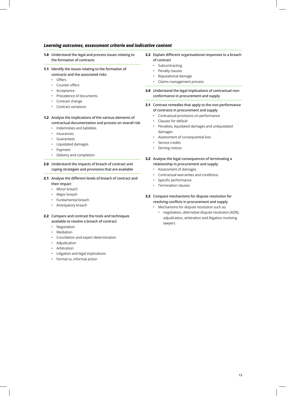- **1.0 Understand the legal and process issues relating to the formation of contracts**
- **1.1 Identify the issues relating to the formation of contracts and the associated risks** 
	- Offers
	- Counter offers
	- Acceptance
	- Precedence of documents
	- Contract change
	- Contract variations
- **1.2 Analyse the implications of the various elements of contractual documentation and process on overall risk** 
	- Indemnities and liabilities
	- Insurances
	- Guarantees
	- Liquidated damages
	- Payment
	- Delivery and completion
- **2.0 Understand the impacts of breach of contract and coping strategies and provisions that are available**
- **2.1 Analyse the different levels of breach of contract and their impact** 
	- Minor breach
	- Major breach
	- Fundamental breach
	- Anticipatory breach
- **2.2 Compare and contrast the tools and techniques available to resolve a breach of contract**
	- Negotiation
	- Mediation
	- Conciliation and expert determination
	- Adjudication
	- Arbitration
	- Litigation and legal implications
	- Formal vs. informal action
- **2.3 Explain different organisational responses to a breach of contract**
	- Subcontracting
	- Penalty clauses
	- Reputational damage
	- Claims management process
- **3.0 Understand the legal implications of contractual nonconformance in procurement and supply**
- **3.1 Contrast remedies that apply to the non-performance of contracts in procurement and supply** 
	- Contractual provisions on performance
	- Clauses for default
	- Penalties, liquidated damages and unliquidated damages
	- Assessment of consequential loss
	- Service credits
	- Serving notices
- **3.2 Analyse the legal consequences of terminating a relationship in procurement and supply**
	- Assessment of damages
	- Contractual warranties and conditions
	- Specific performance
	- Termination clauses
- **3.3 Compare mechanisms for dispute resolution for resolving conflicts in procurement and supply**
	- Mechanisms for dispute resolution such as:
		- negotiation, alternative dispute resolution (ADR), adjudication, arbitration and litigation involving lawyers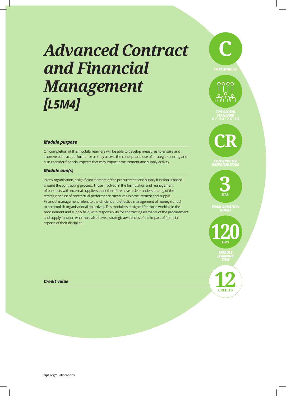### *Advanced Contract and Financial Management [L5M4]*



### *Module purpose*

On completion of this module, learners will be able to develop measures to ensure and improve contract performance as they assess the concept and use of strategic sourcing and also consider financial aspects that may impact procurement and supply activity.

### *Module aim(s)*

In any organisation, a significant element of the procurement and supply function is based around the contracting process. Those involved in the formulation and management of contracts with external suppliers must therefore have a clear understanding of the strategic nature of contractual performance measures in procurement and supply. Financial management refers to the efficient and effective management of money (funds) to accomplish organisational objectives. This module is designed for those working in the procurement and supply field, with responsibility for contracting elements of the procurement and supply function who must also have a strategic awareness of the impact of financial aspects of their discipline.



*CIPS GLOBAL STANDARD 6.7 • 6.8 • 7.6 • 8.5* 

 $0000$ 

.O. ی س

*CONSTRUCTED RESPONSE EXAM*

> **3 HRS**

*EXAM DURATION*

**120 HRS** 

> *MODULE LEARNING TIME*

**Credit value**<br> **12**<br> **12**<br> **12 CREDITS**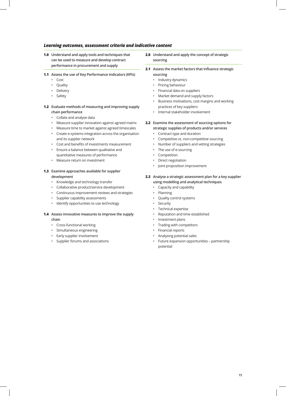**1.0 Understand and apply tools and techniques that can be used to measure and develop contract performance in procurement and supply**

#### **1.1 Assess the use of Key Performance Indicators (KPIs)**

- Cost
- Quality
- Delivery
- Safety
- **1.2 Evaluate methods of measuring and improving supply chain performance** 
	- Collate and analyse data
	- Measure supplier innovation against agreed matrix
	- Measure time to market against agreed timescales
	- Create e-systems integration across the organisation and its supplier network
	- Cost and benefits of investments measurement
	- Ensure a balance between qualitative and quantitative measures of performance
	- Measure return on investment

### **1.3 Examine approaches available for supplier development**

- Knowledge and technology transfer
- Collaborative product/service development
- Continuous improvement reviews and strategies
- Supplier capability assessments
- Identify opportunities to use technology

### **1.4 Assess innovative measures to improve the supply chain**

- Cross-functional working
- Simultaneous engineering
- Early supplier involvement
- Supplier forums and associations
- **2.0 Understand and apply the concept of strategic sourcing**
- **2.1 Assess the market factors that influence strategic sourcing** 
	- Industry dynamics
	- Pricing behaviour
	- Financial data on suppliers
	- Market demand and supply factors
	- Business motivations, cost margins and working practices of key suppliers
	- Internal stakeholder involvement
- **2.2 Examine the assessment of sourcing options for strategic supplies of products and/or services**
	- Contract type and duration
	- Competitive vs. non-competitive sourcing
	- Number of suppliers and vetting strategies
	- The use of e-sourcing
	- Competition
	- Direct negotiation
	- Joint proposition improvement
- **2.3 Analyse a strategic assessment plan for a key supplier using modelling and analytical techniques**
	- Capacity and capability
	- Planning
	- Quality control systems
	- **Security**
	- Technical expertise
	- Reputation and time established
	- Investment plans
	- Trading with competitors
	- Financial reports
	- Analysing potential sales
	- Future expansion opportunities partnership potential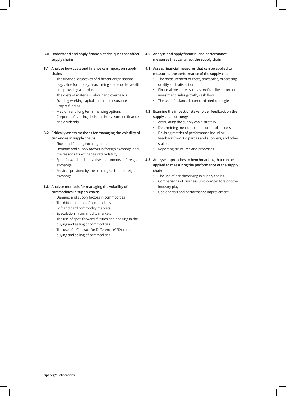### **3.0 Understand and apply financial techniques that affect supply chains**

- **3.1 Analyse how costs and finance can impact on supply chains** 
	- The financial objectives of different organisations (e.g. value for money, maximising shareholder wealth and providing a surplus)
	- The costs of materials, labour and overheads
	- Funding working capital and credit insurance
	- Project funding
	- Medium and long term financing options
	- Corporate financing decisions in investment, finance and dividends

### **3.2 Critically assess methods for managing the volatility of currencies in supply chains**

- Fixed and floating exchange rates
- Demand and supply factors in foreign exchange and the reasons for exchange rate volatility
- Spot, forward and derivative instruments in foreign exchange
- Services provided by the banking sector in foreign exchange

### **3.3 Analyse methods for managing the volatility of commodities in supply chains**

- Demand and supply factors in commodities
- The differentiation of commodities
- Soft and hard commodity markets
- Speculation in commodity markets
- The use of spot, forward, futures and hedging in the buying and selling of commodities
- The use of a Contract for Difference (CFD) in the buying and selling of commodities

**4.0 Analyse and apply financial and performance measures that can affect the supply chain** 

#### **4.1 Assess financial measures that can be applied to measuring the performance of the supply chain**

- The measurement of costs, timescales, processing, quality and satisfaction
- Financial measures such as profitability, return on investment, sales growth, cash flow
- The use of balanced scorecard methodologies
- **4.2 Examine the impact of stakeholder feedback on the supply chain strategy** 
	- Articulating the supply chain strategy
	- Determining measurable outcomes of success
	- Devising metrics of performance including feedback from 3rd parties and suppliers, and other stakeholders
	- Reporting structures and processes
- **4.3 Analyse approaches to benchmarking that can be applied to measuring the performance of the supply chain** 
	- The use of benchmarking in supply chains
	- Comparisons of business unit, competitors or other industry players
	- Gap analysis and performance improvement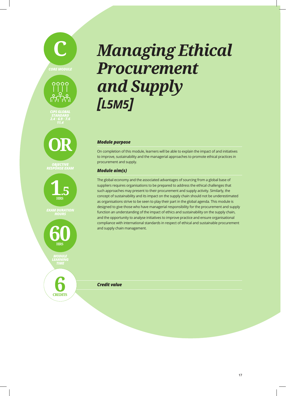



*CIPS GLOBAL STANDARD 2.4 • 6.9 • 7.6 11.4*



*OBJECTIVE RESPONSE EXAM*



*EXAM DURATION*



**6** *Credit value*

**CREDITS**

### *Managing Ethical Procurement and Supply [L5M5]*

### *Module purpose*

On completion of this module, learners will be able to explain the impact of and initiatives to improve, sustainability and the managerial approaches to promote ethical practices in procurement and supply.

### *Module aim(s)*

The global economy and the associated advantages of sourcing from a global base of suppliers requires organisations to be prepared to address the ethical challenges that such approaches may present to their procurement and supply activity. Similarly, the concept of sustainability and its impact on the supply chain should not be underestimated as organisations strive to be seen to play their part in the global agenda. This module is designed to give those who have managerial responsibility for the procurement and supply function an understanding of the impact of ethics and sustainability on the supply chain, and the opportunity to analyse initiatives to improve practice and ensure organisational compliance with international standards in respect of ethical and sustainable procurement and supply chain management.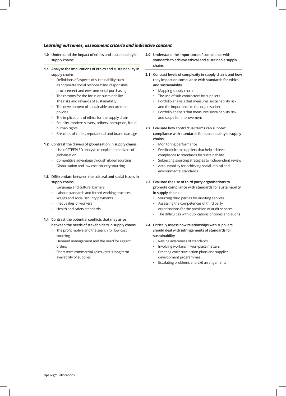- **1.0 Understand the impact of ethics and sustainability in supply chains**
- **1.1 Analyse the implications of ethics and sustainability in supply chains** 
	- Definitions of aspects of sustainability such as corporate social responsibility, responsible procurement and environmental purchasing
	- The reasons for the focus on sustainability
	- The risks and rewards of sustainability
	- The development of sustainable procurement policies
	- The implications of ethics for the supply chain
	- Equality, modern slavery, bribery, corruption, fraud, human rights
	- Breaches of codes, reputational and brand damage

### **1.2 Contrast the drivers of globalisation in supply chains**

- Use of STEEPLED analysis to explain the drivers of globalisation
- Competitive advantage through global sourcing
- Globalisation and low cost country sourcing
- **1.3 Differentiate between the cultural and social issues in supply chains** 
	- Language and cultural barriers
	- Labour standards and forced working practices
	- Wages and social security payments
	- Inequalities of workers
	- Health and safety standards
- **1.4 Contrast the potential conflicts that may arise between the needs of stakeholders in supply chains** 
	- The profit motive and the search for low cost sourcing
	- Demand management and the need for urgent orders
	- Short term commercial gains versus long term availability of supplies
- **2.0 Understand the importance of compliance with standards to achieve ethical and sustainable supply chains**
- **2.1 Contrast levels of complexity in supply chains and how they impact on compliance with standards for ethics and sustainability** 
	- Mapping supply chains
	- The use of sub-contractors by suppliers
	- Portfolio analysis that measures sustainability risk and the importance to the organisation
	- Portfolio analysis that measures sustainability risk and scope for improvement
- **2.2 Evaluate how contractual terms can support compliance with standards for sustainability in supply chains** 
	- Monitoring performance
	- Feedback from suppliers that help achieve compliance to standards for sustainability
	- Subjecting sourcing strategies to independent review
	- Accountability for achieving social, ethical and environmental standards
- **2.3 Evaluate the use of third party organisations to promote compliance with standards for sustainability in supply chains**
	- Sourcing third parties for auditing services
	- Assessing the competences of third party organisations for the provision of audit services
	- The difficulties with duplications of codes and audits
- **2.4 Critically assess how relationships with suppliers should deal with infringements of standards for sustainability**
	- Raising awareness of standards
	- Involving workers in workplace matters
	- Creating corrective action plans and supplier development programmes
	- Escalating problems and exit arrangements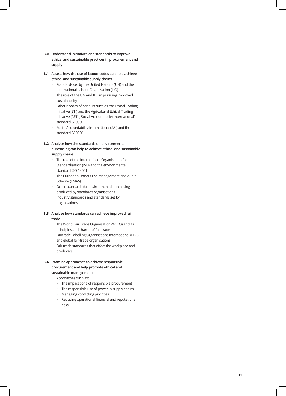- **3.0 Understand initiatives and standards to improve ethical and sustainable practices in procurement and supply**
- **3.1 Assess how the use of labour codes can help achieve ethical and sustainable supply chains** 
	- Standards set by the United Nations (UN) and the International Labour Organisation (ILO)
	- The role of the UN and ILO in pursuing improved sustainability
	- Labour codes of conduct such as the Ethical Trading Initiative (ETI) and the Agricultural Ethical Trading Initiative (AETI), Social Accountability International's standard SA8000
	- Social Accountability International (SAI) and the standard SA8000
- **3.2 Analyse how the standards on environmental purchasing can help to achieve ethical and sustainable supply chains** 
	- The role of the International Organisation for Standardisation (ISO) and the environmental standard ISO 14001
	- The European Union's Eco-Management and Audit Scheme (EMAS)
	- Other standards for environmental purchasing produced by standards organisations
	- Industry standards and standards set by organisations
- **3.3 Analyse how standards can achieve improved fair trade**
	- The World Fair Trade Organisation (WFTO) and its principles and charter of fair trade
	- Fairtrade Labelling Organisations International (FLO) and global fair-trade organisations
	- Fair trade standards that effect the workplace and producers
- **3.4 Examine approaches to achieve responsible procurement and help promote ethical and sustainable management** 
	- Approaches such as:
		- The implications of responsible procurement
		- The responsible use of power in supply chains
		- Managing conflicting priorities
		- Reducing operational financial and reputational risks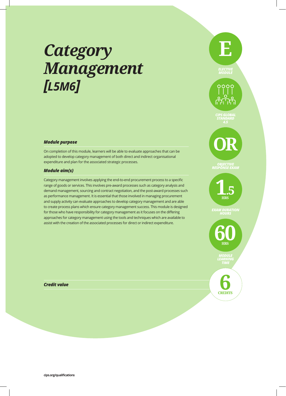### *Category Management [L5M6]*

### *Module purpose*

On completion of this module, learners will be able to evaluate approaches that can be adopted to develop category management of both direct and indirect organisational expenditure and plan for the associated strategic processes.

### *Module aim(s)*

Category management involves applying the end-to-end procurement process to a specific range of goods or services. This involves pre-award processes such as category analysis and demand management, sourcing and contract negotiation, and the post-award processes such as performance management. It is essential that those involved in managing procurement and supply activity can evaluate approaches to develop category management and are able to create process plans which ensure category management success. This module is designed for those who have responsibility for category management as it focuses on the differing approaches for category management using the tools and techniques which are available to assist with the creation of the associated processes for direct or indirect expenditure.

### *Credit value*





#### *OBJECTIVE RESPONSE EXAM*

**1**.**5 HRS**

*EXAM DURATION*

**60 HRS**

> *MODULE LEARNING TIME*

**CREDITS 6**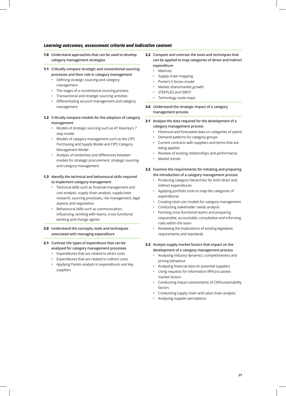- **1.0 Understand approaches that can be used to develop category management strategies**
- **1.1 Critically compare strategic and conventional sourcing processes and their role in category management** 
	- Defining strategic sourcing and category management
	- The stages of a conventional sourcing process
	- Transactional and strategic sourcing activities
	- Differentiating account management and category management
- **1.2 Critically compare models for the adoption of category management** 
	- Models of strategic sourcing such as AT Kearney's 7 step model
	- Models of category management such as the CIPS Purchasing and Supply Model and CIPS Category Management Model
	- Analysis of similarities and differences between models for strategic procurement, strategic sourcing and category management
- **1.3 Identify the technical and behavioural skills required to implement category management** 
	- Technical skills such as financial management and cost analysis, supply chain analysis, supply base research, sourcing processes, risk management, legal aspects and negotiation
	- Behavioural skills such as communication, influencing, working with teams, cross functional working and change agents
- **2.0 Understand the concepts, tools and techniques associated with managing expenditure**
- **2.1 Contrast the types of expenditure that can be analysed for category management processes** 
	- Expenditures that are related to direct costs
	- Expenditures that are related to indirect costs
	- Applying Pareto analysis to expenditures and key suppliers
- **2.2 Compare and contrast the tools and techniques that can be applied to map categories of direct and indirect expenditure**
	- Matrices
	- Supply chain mapping
	- Porter's 5 forces model
	- Market share/market growth
	- STEEPLED and SWOT
	- Technology route maps
- **3.0 Understand the strategic impact of a category management process**
- **3.1 Analyse the data required for the development of a category management process** 
	- Historical and forecasted data on categories of spend
	- Demand patterns for category groups
	- Current contracts with suppliers and terms that are being applied
	- Reviews of existing relationships and performance
	- Market trends
- **3.2 Examine the requirements for initiating and preparing the introduction of a category management process** 
	- Producing category hierarchies for both direct and indirect expenditures
	- Applying portfolio tools to map the categories of expenditures
	- Creating total cost models for category management
	- Conducting stakeholder needs analysis
	- Forming cross functional teams and preparing responsible, accountable, consultative and informing roles within the team
	- Reviewing the implications of existing legislative requirements and standards
- **3.3 Analyse supply market factors that impact on the development of a category management process**
	- Analysing industry dynamics, competitiveness and pricing behaviour
	- Analysing financial data on potential suppliers
	- Using requests for information (RFIs) to assess market factors
	- Conducting impact assessments of CSR/sustainability factors
	- Conducting supply chain and value chain analysis
	- Analysing supplier perceptions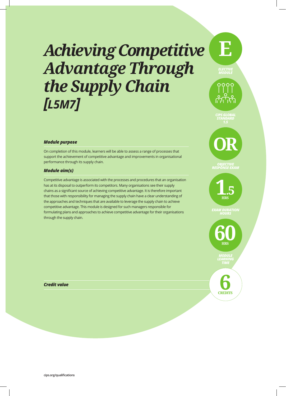### *Achieving Competitive Advantage Through the Supply Chain [L5M7]*



0000

### *Module purpose*

On completion of this module, learners will be able to assess a range of processes that support the achievement of competitive advantage and improvements in organisational performance through its supply chain.

### *Module aim(s)*

Competitive advantage is associated with the processes and procedures that an organisation has at its disposal to outperform its competitors. Many organisations see their supply chains as a significant source of achieving competitive advantage. It is therefore important that those with responsibility for managing the supply chain have a clear understanding of the approaches and techniques that are available to leverage the supply chain to achieve competitive advantage. This module is designed for such managers responsible for formulating plans and approaches to achieve competitive advantage for their organisations through the supply chain.



*CIPS GLOBAL STANDARD*

### *RESPONSE EXAM*

**1**.**5 HRS**

*EXAM DURATION*

**60 HRS** *MODULE LEARNING*

*Credit value*

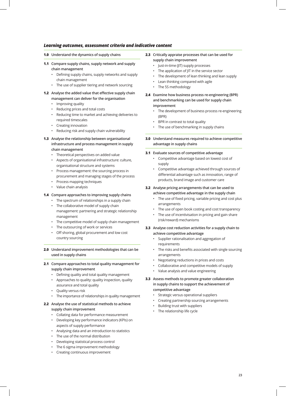- **1.0 Understand the dynamics of supply chains**
- **1.1 Compare supply chains, supply network and supply chain management** 
	- Defining supply chains, supply networks and supply chain management
	- The use of supplier tiering and network sourcing
- **1.2 Analyse the added value that effective supply chain management can deliver for the organisation** 
	- Improving quality
	- Reducing prices and total costs
	- Reducing time to market and achieving deliveries to required timescales
	- Creating innovation
	- Reducing risk and supply chain vulnerability
- **1.3 Analyse the relationship between organisational infrastructure and process management in supply chain management** 
	- Theoretical perspectives on added value
	- Aspects of organisational infrastructure: culture, organisational structure and systems
	- Process management: the sourcing process in procurement and managing stages of the process
	- Process mapping techniques
	- Value chain analysis

### **1.4 Compare approaches to improving supply chains**

- The spectrum of relationships in a supply chain
- The collaborative model of supply chain management: partnering and strategic relationship management
- The competitive model of supply chain management
- The outsourcing of work or services
- Off shoring, global procurement and low cost country sourcing
- **2.0 Understand improvement methodologies that can be used in supply chains**
- **2.1 Compare approaches to total quality management for supply chain improvement** 
	- Defining quality and total quality management
	- Approaches to quality: quality inspection, quality assurance and total quality
	- Quality versus risk
	- The importance of relationships in quality management

### **2.2 Analyse the use of statistical methods to achieve supply chain improvement**

- Collating data for performance measurement
- Developing key performance indicators (KPIs) on aspects of supply performance
- Analysing data and an introduction to statistics
- The use of the normal distribution
- Developing statistical process control
- The 6 sigma improvement methodology
- Creating continuous improvement
- **2.3 Critically appraise processes that can be used for supply chain improvement** 
	- Just-in-time (JIT) supply processes
	- The application of JIT in the service sector
	- The development of lean thinking and lean supply
	- Lean thinking compared with agile
	- The 5S methodology
- **2.4 Examine how business process re-engineering (BPR) and benchmarking can be used for supply chain improvement** 
	- The development of business process re-engineering (BPR)
	- BPR in contrast to total quality
	- The use of benchmarking in supply chains
- **3.0 Understand measures required to achieve competitive advantage in supply chains**

#### **3.1 Evaluate sources of competitive advantage**

- Competitive advantage based on lowest cost of supply
- Competitive advantage achieved through sources of differential advantage such as innovation, range of products, brand image and customer care

#### **3.2 Analyse pricing arrangements that can be used to achieve competitive advantage in the supply chain**

- The use of fixed pricing, variable pricing and cost plus arrangements
- The use of open book costing and cost transparency
- The use of incentivisation in pricing and gain share (risk/reward) mechanisms
- **3.3 Analyse cost reduction activities for a supply chain to achieve competitive advantage**
	- Supplier rationalisation and aggregation of requirements
	- The risks and benefits associated with single sourcing arrangements
	- Negotiating reductions in prices and costs
	- Collaborative and competitive models of supply
	- Value analysis and value engineering
- **3.3 Assess methods to promote greater collaboration in supply chains to support the achievement of competitive advantage**
	- Strategic versus operational suppliers
	- Creating partnership sourcing arrangements
	- Building trust with suppliers
	- The relationship life cycle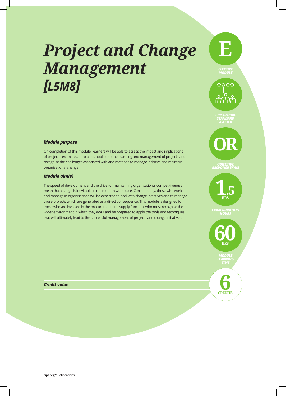### *Project and Change Management [L5M8]*

### *Module purpose*

On completion of this module, learners will be able to assess the impact and implications of projects, examine approaches applied to the planning and management of projects and recognise the challenges associated with and methods to manage, achieve and maintain organisational change.

### *Module aim(s)*

The speed of development and the drive for maintaining organisational competitiveness mean that change is inevitable in the modern workplace. Consequently, those who work and manage in organisations will be expected to deal with change initiatives and to manage those projects which are generated as a direct consequence. This module is designed for those who are involved in the procurement and supply function, who must recognise the wider environment in which they work and be prepared to apply the tools and techniques that will ultimately lead to the successful management of projects and change initiatives.

## *4.4 • 8.4* **OR**

*CIPS GLOBAL STANDARD*

**E**

*ELECTIVE MODULE*

0000

**1**.**5 HRS**

*OBJECTIVE RESPONSE EXAM*

*EXAM DURATION*

**60 HRS**

> *MODULE LEARNING TIME*

**CREDITS 6**

*Credit value*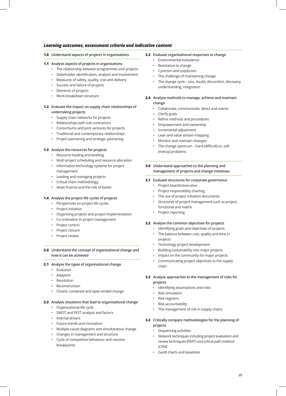**1.0 Understand aspects of projects in organisations**

### **1.1 Analyse aspects of projects in organisations**

- The relationship between programmes and projects
- Stakeholder identification, analysis and involvement
- Measures of safety, quality, cost and delivery
- Success and failure of projects
- Elements of projects
- Work breakdown structure

### **1.2 Evaluate the impact on supply chain relationships of undertaking projects**

- Supply chain networks for projects
- Relationships with sub-contractors
- Consortiums and joint ventures for projects
- Traditional and contemporary relationships
- Project partnering and strategic partnering

#### **1.3 Analyse the resources for projects**

- Resource loading and levelling
- Multi project scheduling and resource allocation
- Information technology systems for project management
- Leading and managing projects
- Critical chain methodology
- Asset finance and the role of banks

### **1.4 Analyse the project life cycles of projects**

- Perspectives on project life cycles
- Project initiation
- Organising projects and project implementation
- Co-ordination in project management
- Project control
- Project closure
- Project review

### **2.0 Understand the concept of organisational change and how it can be achieved**

#### **2.1 Analyse the types of organisational change**

- Evolution
- Adaption
- Revolution
- Reconstruction
- Closed, contained and open-ended change

### **2.2 Analyse situations that lead to organisational change**

- Organisational life cycle
- SWOT and PEST analysis and factors
- Internal drivers
- Future trends and innovation
- Multiple-cause diagrams and simultaneous change
- Changes in management and structure
- Cycle of competitive behaviour and reactive breakpoints

#### **2.3 Evaluate organisational responses to change**

- Environmental turbulence
- Resistance to change
- Cynicism and scepticism
- The challenge of maintaining change
- The change cycle loss, doubt, discomfort, discovery, understanding, integration
- **2.4 Analyse methods to manage, achieve and maintain change**
	- Collaborate, communicate, direct and coerce
	- Clarify goals
	- Refine methods and procedures
	- Empowerment and ownership
	- Incremental adjustment
	- Lean and value stream mapping
	- Monitor and maintain changes
	- The change spectrum hard (difficult) vs. soft (messy) problems
- **3.0 Understand approaches to the planning and management of projects and change initiatives**

#### **3.1 Evaluate structures for corporate governance**

- Project boards/executive
- Project responsibility charting
- The use of project initiation documents
- Structures of project management such as project, functional and matrix
- Project reporting

### **3.2 Analyse the common objectives for projects**

- Identifying goals and objectives of projects
- The balance between cost, quality and time in projects
- Technology project development
- Building sustainability into major projects
- Impact on the community for major projects
- Communicating project objectives to the supply chain

#### **3.3 Analyse approaches to the management of risks for projects**

- Identifying assumptions and risks
- Risk simulation
- Risk registers
- Risk accountability
- The management of risk in supply chains
- **3.3 Critically compare methodologies for the planning of projects** 
	- Sequencing activities
	- Network techniques including project evaluation and review techniques (PERT) and critical path method (CPM)
	- Gantt charts and baselines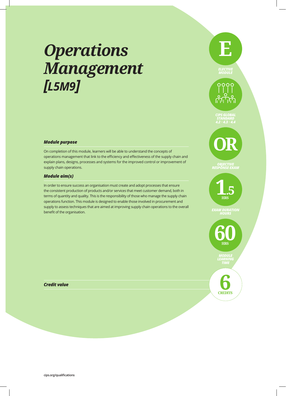### *Operations Management [L5M9]*

### *Module purpose*

On completion of this module, learners will be able to understand the concepts of operations management that link to the efficiency and effectiveness of the supply chain and explain plans, designs, processes and systems for the improved control or improvement of supply chain operations.

### *Module aim(s)*

In order to ensure success an organisation must create and adopt processes that ensure the consistent production of products and/or services that meet customer demand, both in terms of quantity and quality. This is the responsibility of those who manage the supply chain operations function. This module is designed to enable those involved in procurement and supply to assess techniques that are aimed at improving supply chain operations to the overall benefit of the organisation.

### *ELECTIVE MODULE*  $0000$ *CIPS GLOBAL STANDARD 4.2 • 4.3 • 4.4* **OR**

**E**



*OBJECTIVE RESPONSE EXAM*

*EXAM DURATION*



*MODULE LEARNING TIME*

**CREDITS 6**

*Credit value*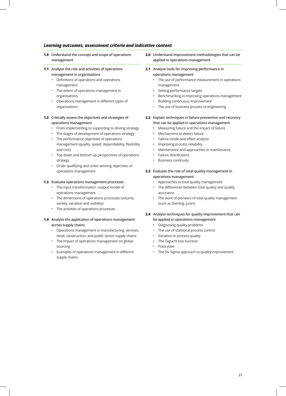- **1.0 Understand the concept and scope of operations management**
- **1.1 Analyse the role and activities of operations management in organisations** 
	- Definitions of operations and operations management
	- The extent of operations management in organisations
	- Operations management in different types of organisations

### **1.2 Critically assess the objectives and strategies of operations management**

- From implementing to supporting to driving strategy
- The stages of development of operations strategy
- The performance objectives of operations management (quality, speed, dependability, flexibility and cost)
- Top down and bottom up perspectives of operations strategy
- Order qualifying and order winning objectives of operations management

### **1.3 Evaluate operations management processes**

- The input transformation -output' model of operations management
- The dimensions of operations processes (volume, variety, variation and visibility)
- The activities of operations processes

### **1.4 Analyse the application of operations management across supply chains**

- Operations management in manufacturing, services, retail, construction, and public sector supply chains
- The impact of operations management on global sourcing
- Examples of operations management in different supply chains

**2.0 Understand improvement methodologies that can be applied in operations management** 

### **2.1 Analyse tools for improving performance in operations management**

- The use of performance measurement in operations management
- Setting performance targets
- Benchmarking in improving operations management
- Building continuous improvement
	- The use of business process re-engineering
- **2.2 Explain techniques in failure prevention and recovery that can be applied in operations management** 
	- Measuring failure and the impact of failure
	- Mechanisms to detect failure
	- Failure mode and effect analysis
	- Improving process reliability
	- Maintenance and approaches to maintenance
	- Failure distributions
	- Business continuity
- **2.3 Evaluate the role of total quality management in operations management** 
	- Approaches to total quality management
	- The differences between total quality and quality assurance
	- The work of pioneers of total quality management (such as Deming, Juran)
- **2.4 Analyse techniques for quality improvement that can be applied in operations management** 
	- Diagnosing quality problems
	- The use of statistical process control
	- Variation in process quality
	- The Taguchi loss function
	- Poka yoke
	- The Six Sigma approach to quality improvement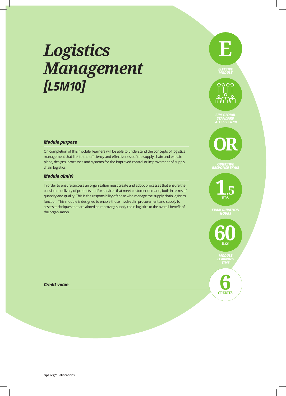## *Logistics Management [L5M10]*

### *Module purpose*

On completion of this module, learners will be able to understand the concepts of logistics management that link to the efficiency and effectiveness of the supply chain and explain plans, designs, processes and systems for the improved control or improvement of supply chain logistics.

### *Module aim(s)*

In order to ensure success an organisation must create and adopt processes that ensure the consistent delivery of products and/or services that meet customer demand, both in terms of quantity and quality. This is the responsibility of those who manage the supply chain logistics function. This module is designed to enable those involved in procurement and supply to assess techniques that are aimed at improving supply chain logistics to the overall benefit of the organisation.



**E**

### **1**.**5 HRS**

*OBJECTIVE RESPONSE EXAM*

*EXAM DURATION*



*MODULE LEARNING TIME*

*Credit value*

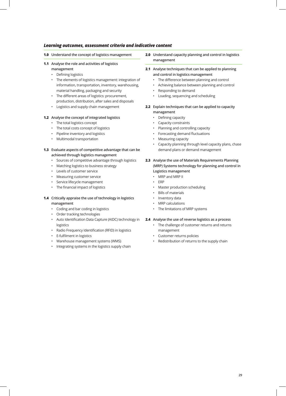- **1.0 Understand the concept of logistics management**
- **1.1 Analyse the role and activities of logistics**
	- **management**
	- Defining logistics
	- The elements of logistics management: integration of information, transportation, inventory, warehousing, material handling, packaging and security
	- The different areas of logistics: procurement, production, distribution, after sales and disposals
	- Logistics and supply chain management

### **1.2 Analyse the concept of integrated logistics**

- The total logistics concept
- The total costs concept of logistics
- Pipeline inventory and logistics
- Multimodal transportation

### **1.3 Evaluate aspects of competitive advantage that can be achieved through logistics management**

- Sources of competitive advantage through logistics
- Matching logistics to business strategy
- Levels of customer service
- Measuring customer service
- Service lifecycle management
- The financial impact of logistics

### **1.4 Critically appraise the use of technology in logistics management**

- Coding and bar coding in logistics
- Order tracking technologies
- Auto Identification Data Capture (AIDC) technology in logistics
- Radio Frequency Identification (RFID) in logistics
- E-fulfilment in logistics
- Warehouse management systems (WMS)
- Integrating systems in the logistics supply chain
- **2.0 Understand capacity planning and control in logistics management**
- **2.1 Analyse techniques that can be applied to planning and control in logistics management** 
	- The difference between planning and control
	- Achieving balance between planning and control
	- Responding to demand
	- Loading, sequencing and scheduling
- **2.2 Explain techniques that can be applied to capacity management** 
	- Defining capacity
	- Capacity constraints
	- Planning and controlling capacity
	- Forecasting demand fluctuations
	- Measuring capacity
	- Capacity planning through level capacity plans, chase demand plans or demand management
- **2.3 Analyse the use of Materials Requirements Planning (MRP) Systems technology for planning and control in Logistics management** 
	- MRP and MRP II
	- ERP
	- Master production scheduling
	- Bills of materials
	- Inventory data
	- MRP calculations
	- The limitations of MRP systems

### **2.4 Analyse the use of reverse logistics as a process**

- The challenge of customer returns and returns management
- Customer returns policies
- Redistribution of returns to the supply chain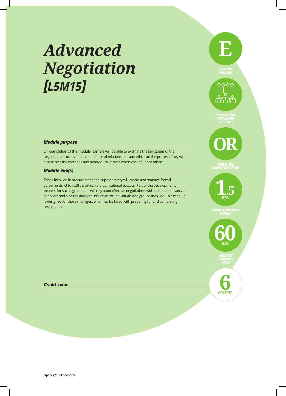## *Advanced Negotiation [L5M15]*

### *Module purpose*

On completion of this module learners will be able to examine the key stages of the negotiation process and the influence of relationships and ethics on the process. They will also assess the methods and behavioural factors which can influence others.

### *Module aim(s)*

Those involved in procurement and supply activity will create and manage formal agreements which will be critical to organisational success. Part of the developmental process for such agreements will rely upon effective negotiations with stakeholders and/or suppliers and also the ability to influence the individuals and groups involved. This module is designed for those managers who may be faced with preparing for and completing negotiations



**E**

**1**.**5 HRS**

*EXAM DURATION*



*MODULE LEARNING TIME*

*Credit value*

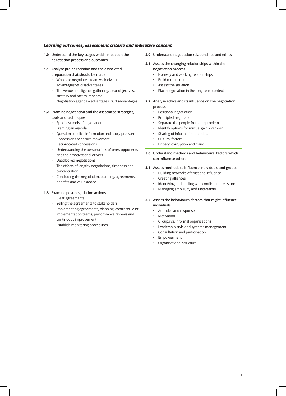- **1.0 Understand the key stages which impact on the negotiation process and outcomes**
- **1.1 Analyse pre-negotiation and the associated preparation that should be made** 
	- Who is to negotiate team vs. individual advantages vs. disadvantages
	- The venue, intelligence gathering, clear objectives, strategy and tactics, rehearsal
	- Negotiation agenda advantages vs. disadvantages

### **1.2 Examine negotiation and the associated strategies, tools and techniques**

- Specialist tools of negotiation
- Framing an agenda
- Questions to elicit information and apply pressure
- Concessions to secure movement
- Reciprocated concessions
- Understanding the personalities of one's opponents and their motivational drivers
- Deadlocked negotiations
- The effects of lengthy negotiations, tiredness and concentration
- Concluding the negotiation, planning, agreements, benefits and value added

#### **1.3 Examine post-negotiation actions**

- Clear agreements
- Selling the agreements to stakeholders
- Implementing agreements, planning, contracts, joint implementation teams, performance reviews and continuous improvement
- Establish monitoring procedures
- **2.0 Understand negotiation relationships and ethics**
- **2.1 Assess the changing relationships within the negotiation process** 
	- Honesty and working relationships
	- Build mutual trust
	- Assess the situation
	- Place negotiation in the long-term context

#### **2.2 Analyse ethics and its influence on the negotiation process**

- Positional negotiation
- Principled negotiation
- Separate the people from the problem
- Identify options for mutual gain win-win
- Sharing of information and data
- Cultural factors
- Bribery, corruption and fraud
- **3.0 Understand methods and behavioural factors which can influence others**
- **3.1 Assess methods to influence individuals and groups** 
	- Building networks of trust and influence
	- Creating alliances
	- Identifying and dealing with conflict and resistance
	- Managing ambiguity and uncertainty
- **3.2 Assess the behavioural factors that might influence individuals** 
	- Attitudes and responses
	- Motivation
	- Groups vs. informal organisations
	- Leadership style and systems management
	- Consultation and participation
	- Empowerment
	- Organisational structure